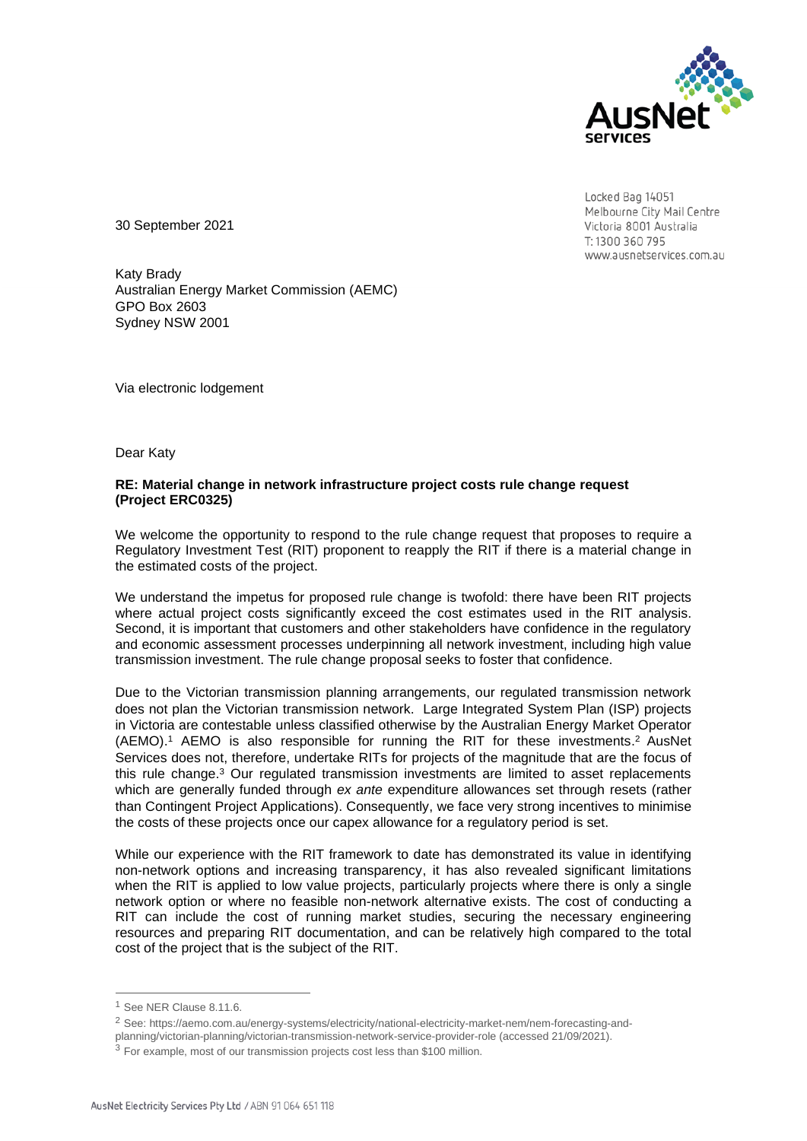

Locked Bag 14051 Melbourne City Mail Centre Victoria 8001 Australia T: 1300 360 795 www.ausnetservices.com.au

30 September 2021

Katy Brady Australian Energy Market Commission (AEMC) GPO Box 2603 Sydney NSW 2001

Via electronic lodgement

Dear Katy

## **RE: Material change in network infrastructure project costs rule change request (Project ERC0325)**

We welcome the opportunity to respond to the rule change request that proposes to require a Regulatory Investment Test (RIT) proponent to reapply the RIT if there is a material change in the estimated costs of the project.

We understand the impetus for proposed rule change is twofold: there have been RIT projects where actual project costs significantly exceed the cost estimates used in the RIT analysis. Second, it is important that customers and other stakeholders have confidence in the regulatory and economic assessment processes underpinning all network investment, including high value transmission investment. The rule change proposal seeks to foster that confidence.

Due to the Victorian transmission planning arrangements, our regulated transmission network does not plan the Victorian transmission network. Large Integrated System Plan (ISP) projects in Victoria are contestable unless classified otherwise by the Australian Energy Market Operator (AEMO). <sup>1</sup> AEMO is also responsible for running the RIT for these investments. <sup>2</sup> AusNet Services does not, therefore, undertake RITs for projects of the magnitude that are the focus of this rule change. <sup>3</sup> Our regulated transmission investments are limited to asset replacements which are generally funded through *ex ante* expenditure allowances set through resets (rather than Contingent Project Applications). Consequently, we face very strong incentives to minimise the costs of these projects once our capex allowance for a regulatory period is set.

While our experience with the RIT framework to date has demonstrated its value in identifying non-network options and increasing transparency, it has also revealed significant limitations when the RIT is applied to low value projects, particularly projects where there is only a single network option or where no feasible non-network alternative exists. The cost of conducting a RIT can include the cost of running market studies, securing the necessary engineering resources and preparing RIT documentation, and can be relatively high compared to the total cost of the project that is the subject of the RIT.

<sup>&</sup>lt;sup>1</sup> See NER Clause 8.11.6.

<sup>2</sup> See: [https://aemo.com.au/energy-systems/electricity/national-electricity-market-nem/nem-forecasting-and-](about:blank)

[planning/victorian-planning/victorian-transmission-network-service-provider-role](about:blank) (accessed 21/09/2021).

<sup>&</sup>lt;sup>3</sup> For example, most of our transmission projects cost less than \$100 million.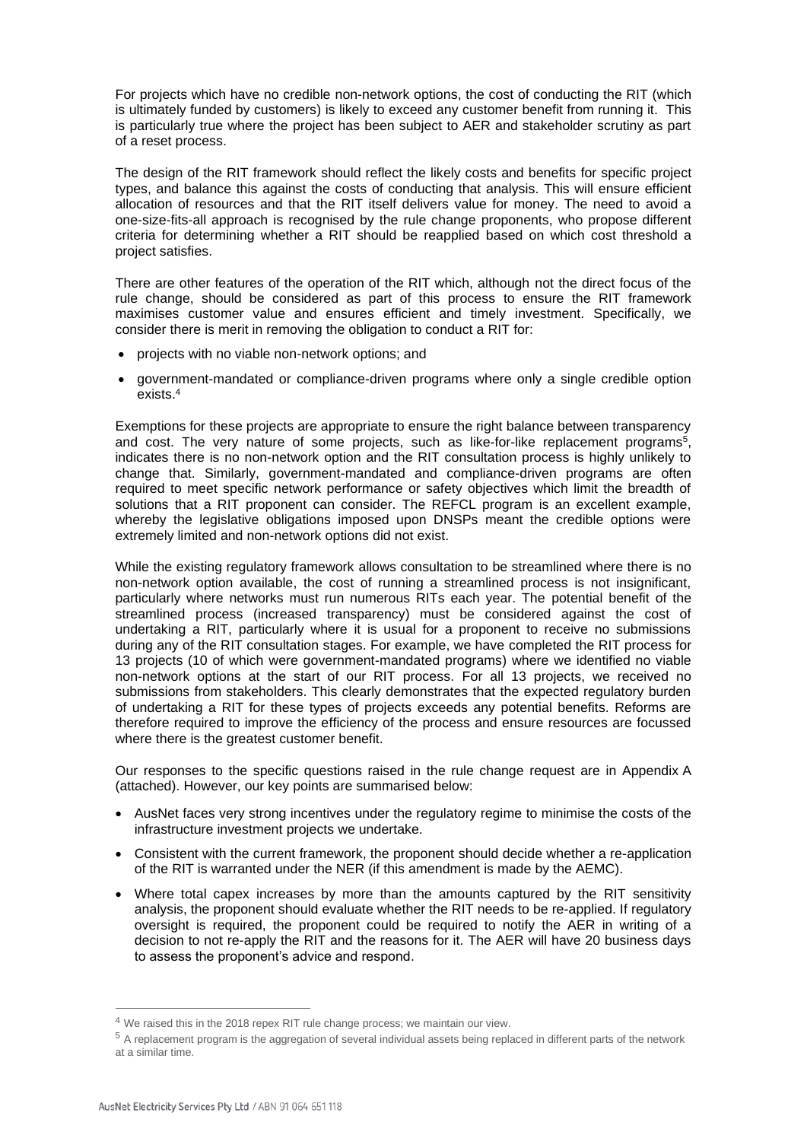For projects which have no credible non-network options, the cost of conducting the RIT (which is ultimately funded by customers) is likely to exceed any customer benefit from running it. This is particularly true where the project has been subject to AER and stakeholder scrutiny as part of a reset process.

The design of the RIT framework should reflect the likely costs and benefits for specific project types, and balance this against the costs of conducting that analysis. This will ensure efficient allocation of resources and that the RIT itself delivers value for money. The need to avoid a one-size-fits-all approach is recognised by the rule change proponents, who propose different criteria for determining whether a RIT should be reapplied based on which cost threshold a project satisfies.

There are other features of the operation of the RIT which, although not the direct focus of the rule change, should be considered as part of this process to ensure the RIT framework maximises customer value and ensures efficient and timely investment. Specifically, we consider there is merit in removing the obligation to conduct a RIT for:

- projects with no viable non-network options; and
- government-mandated or compliance-driven programs where only a single credible option exists. 4

Exemptions for these projects are appropriate to ensure the right balance between transparency and cost. The very nature of some projects, such as like-for-like replacement programs<sup>5</sup> , indicates there is no non-network option and the RIT consultation process is highly unlikely to change that. Similarly, government-mandated and compliance-driven programs are often required to meet specific network performance or safety objectives which limit the breadth of solutions that a RIT proponent can consider. The REFCL program is an excellent example, whereby the legislative obligations imposed upon DNSPs meant the credible options were extremely limited and non-network options did not exist.

While the existing regulatory framework allows consultation to be streamlined where there is no non-network option available, the cost of running a streamlined process is not insignificant, particularly where networks must run numerous RITs each year. The potential benefit of the streamlined process (increased transparency) must be considered against the cost of undertaking a RIT, particularly where it is usual for a proponent to receive no submissions during any of the RIT consultation stages. For example, we have completed the RIT process for 13 projects (10 of which were government-mandated programs) where we identified no viable non-network options at the start of our RIT process. For all 13 projects, we received no submissions from stakeholders. This clearly demonstrates that the expected regulatory burden of undertaking a RIT for these types of projects exceeds any potential benefits. Reforms are therefore required to improve the efficiency of the process and ensure resources are focussed where there is the greatest customer benefit.

Our responses to the specific questions raised in the rule change request are in Appendix A (attached). However, our key points are summarised below:

- AusNet faces very strong incentives under the regulatory regime to minimise the costs of the infrastructure investment projects we undertake.
- Consistent with the current framework, the proponent should decide whether a re-application of the RIT is warranted under the NER (if this amendment is made by the AEMC).
- Where total capex increases by more than the amounts captured by the RIT sensitivity analysis, the proponent should evaluate whether the RIT needs to be re-applied. If regulatory oversight is required, the proponent could be required to notify the AER in writing of a decision to not re-apply the RIT and the reasons for it. The AER will have 20 business days to assess the proponent's advice and respond.

<sup>&</sup>lt;sup>4</sup> We raised this in the 2018 repex RIT rule change process; we maintain our view.

<sup>5</sup> A replacement program is the aggregation of several individual assets being replaced in different parts of the network at a similar time.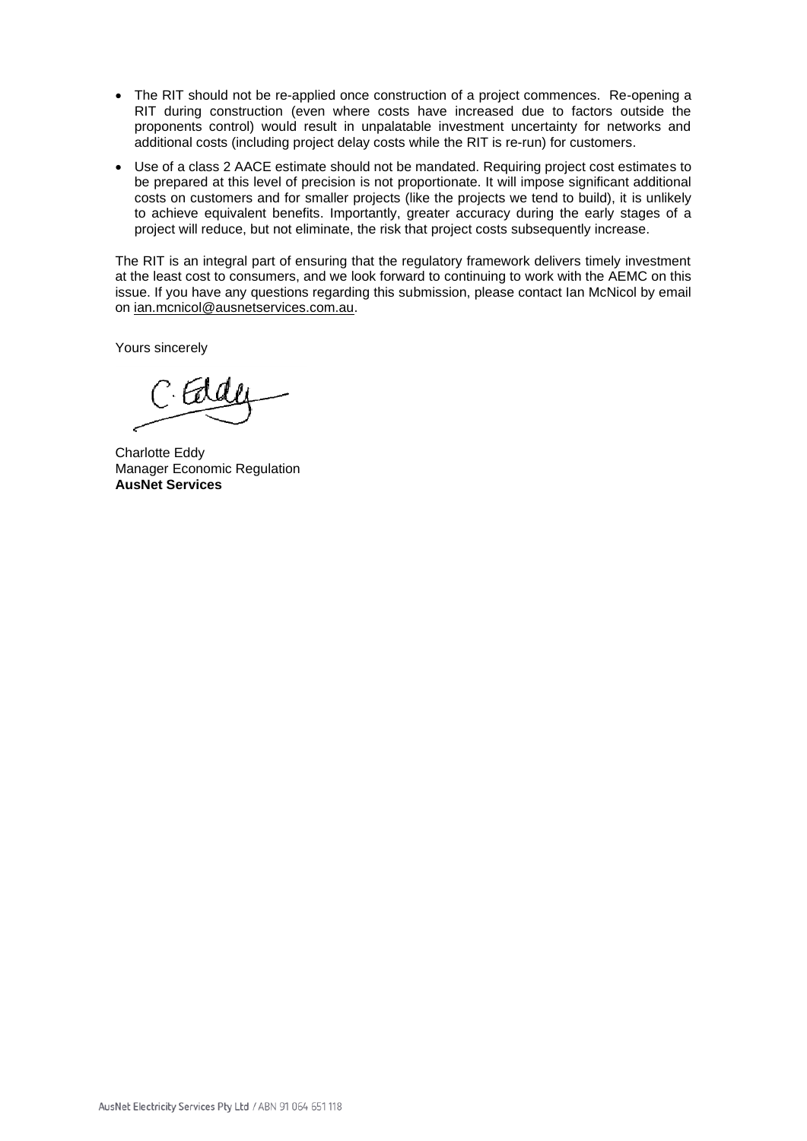- The RIT should not be re-applied once construction of a project commences. Re-opening a RIT during construction (even where costs have increased due to factors outside the proponents control) would result in unpalatable investment uncertainty for networks and additional costs (including project delay costs while the RIT is re-run) for customers.
- Use of a class 2 AACE estimate should not be mandated. Requiring project cost estimates to be prepared at this level of precision is not proportionate. It will impose significant additional costs on customers and for smaller projects (like the projects we tend to build), it is unlikely to achieve equivalent benefits. Importantly, greater accuracy during the early stages of a project will reduce, but not eliminate, the risk that project costs subsequently increase.

The RIT is an integral part of ensuring that the regulatory framework delivers timely investment at the least cost to consumers, and we look forward to continuing to work with the AEMC on this issue. If you have any questions regarding this submission, please contact Ian McNicol by email on ian.mcnicol@ausnetservices.com.au.

Yours sincerely

Charlotte Eddy Manager Economic Regulation **AusNet Services**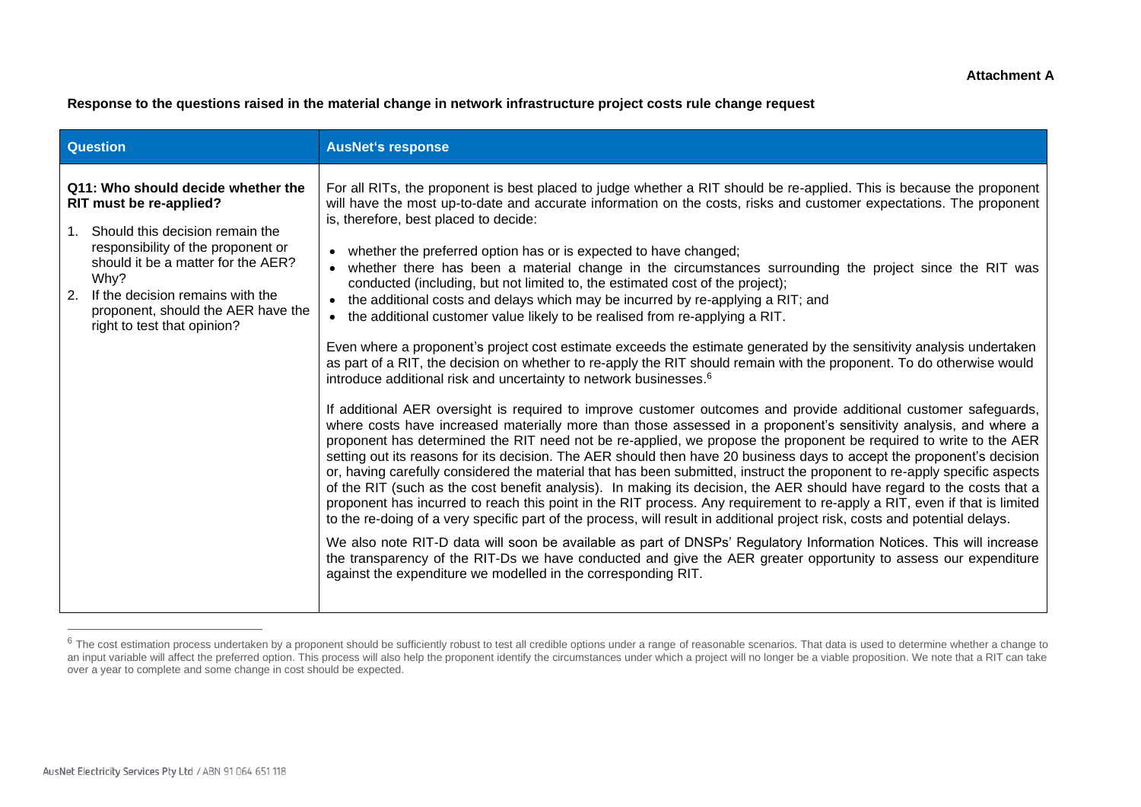**Response to the questions raised in the material change in network infrastructure project costs rule change request** 

| <b>Question</b>                                                                                                                                                                                                                                                                                                       | <b>AusNet's response</b>                                                                                                                                                                                                                                                                                                                                                                                                                                                                                                                                                                                                                                                                                                                                                                                                                                                                                                                                                                                                                                                                                                                                                                                                                                                                                                                                                                                                                                                                                                                                                                                                                                                                                                                                                                                                                                                                                                                                                                                                                                                                                                                                                                                                                                                                                                                                                                                                            |
|-----------------------------------------------------------------------------------------------------------------------------------------------------------------------------------------------------------------------------------------------------------------------------------------------------------------------|-------------------------------------------------------------------------------------------------------------------------------------------------------------------------------------------------------------------------------------------------------------------------------------------------------------------------------------------------------------------------------------------------------------------------------------------------------------------------------------------------------------------------------------------------------------------------------------------------------------------------------------------------------------------------------------------------------------------------------------------------------------------------------------------------------------------------------------------------------------------------------------------------------------------------------------------------------------------------------------------------------------------------------------------------------------------------------------------------------------------------------------------------------------------------------------------------------------------------------------------------------------------------------------------------------------------------------------------------------------------------------------------------------------------------------------------------------------------------------------------------------------------------------------------------------------------------------------------------------------------------------------------------------------------------------------------------------------------------------------------------------------------------------------------------------------------------------------------------------------------------------------------------------------------------------------------------------------------------------------------------------------------------------------------------------------------------------------------------------------------------------------------------------------------------------------------------------------------------------------------------------------------------------------------------------------------------------------------------------------------------------------------------------------------------------------|
| Q11: Who should decide whether the<br>RIT must be re-applied?<br>Should this decision remain the<br>1 <sub>1</sub><br>responsibility of the proponent or<br>should it be a matter for the AER?<br>Why?<br>2.<br>If the decision remains with the<br>proponent, should the AER have the<br>right to test that opinion? | For all RITs, the proponent is best placed to judge whether a RIT should be re-applied. This is because the proponent<br>will have the most up-to-date and accurate information on the costs, risks and customer expectations. The proponent<br>is, therefore, best placed to decide:<br>whether the preferred option has or is expected to have changed;<br>$\bullet$<br>whether there has been a material change in the circumstances surrounding the project since the RIT was<br>$\bullet$<br>conducted (including, but not limited to, the estimated cost of the project);<br>the additional costs and delays which may be incurred by re-applying a RIT; and<br>$\bullet$<br>the additional customer value likely to be realised from re-applying a RIT.<br>$\bullet$<br>Even where a proponent's project cost estimate exceeds the estimate generated by the sensitivity analysis undertaken<br>as part of a RIT, the decision on whether to re-apply the RIT should remain with the proponent. To do otherwise would<br>introduce additional risk and uncertainty to network businesses. <sup>6</sup><br>If additional AER oversight is required to improve customer outcomes and provide additional customer safeguards,<br>where costs have increased materially more than those assessed in a proponent's sensitivity analysis, and where a<br>proponent has determined the RIT need not be re-applied, we propose the proponent be required to write to the AER<br>setting out its reasons for its decision. The AER should then have 20 business days to accept the proponent's decision<br>or, having carefully considered the material that has been submitted, instruct the proponent to re-apply specific aspects<br>of the RIT (such as the cost benefit analysis). In making its decision, the AER should have regard to the costs that a<br>proponent has incurred to reach this point in the RIT process. Any requirement to re-apply a RIT, even if that is limited<br>to the re-doing of a very specific part of the process, will result in additional project risk, costs and potential delays.<br>We also note RIT-D data will soon be available as part of DNSPs' Regulatory Information Notices. This will increase<br>the transparency of the RIT-Ds we have conducted and give the AER greater opportunity to assess our expenditure<br>against the expenditure we modelled in the corresponding RIT. |

<sup>&</sup>lt;sup>6</sup> The cost estimation process undertaken by a proponent should be sufficiently robust to test all credible options under a range of reasonable scenarios. That data is used to determine whether a change to an input variable will affect the preferred option. This process will also help the proponent identify the circumstances under which a project will no longer be a viable proposition. We note that a RIT can take over a year to complete and some change in cost should be expected.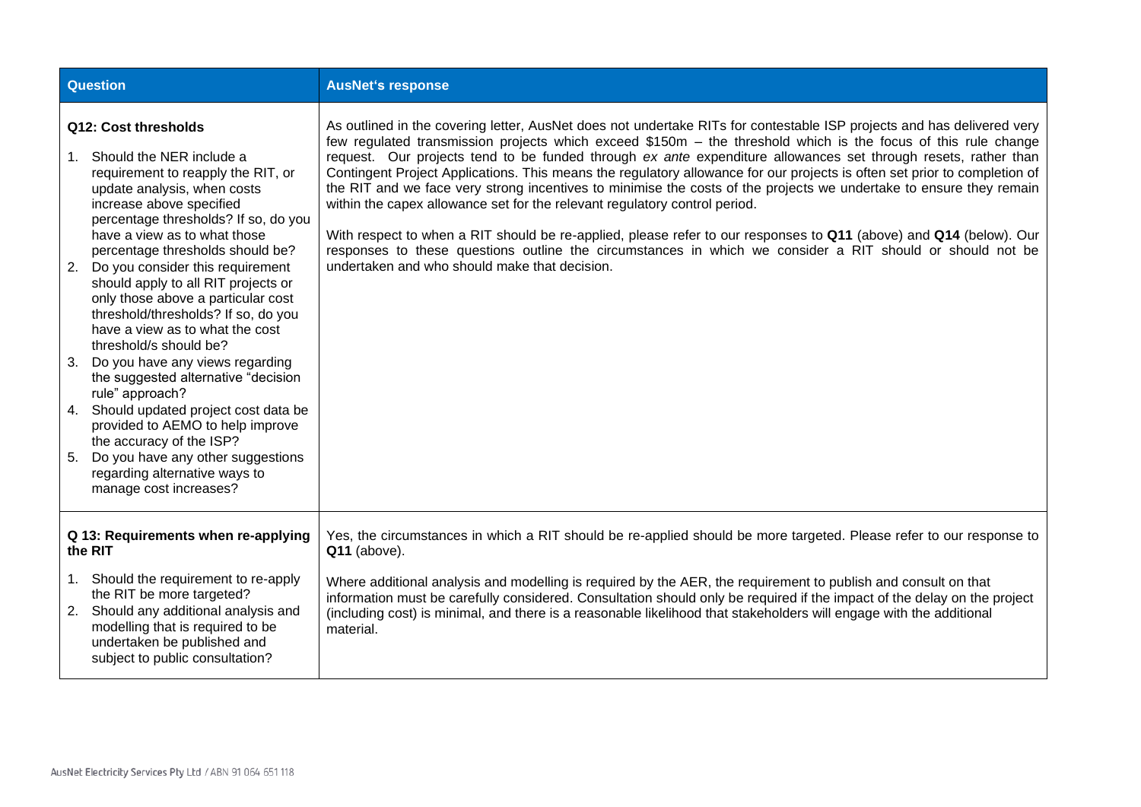| <b>Question</b>                                                                                                                                                                                                                                                        |                                                                                                                                                                                                                                                                                                                                                                                                                                                                                                                                                                                                                                                                                                                                                                                           | <b>AusNet's response</b>                                                                                                                                                                                                                                                                                                                                                                                                                                                                                                                                                                                                                                                                                                                                                                                                                                                                                                                                                         |
|------------------------------------------------------------------------------------------------------------------------------------------------------------------------------------------------------------------------------------------------------------------------|-------------------------------------------------------------------------------------------------------------------------------------------------------------------------------------------------------------------------------------------------------------------------------------------------------------------------------------------------------------------------------------------------------------------------------------------------------------------------------------------------------------------------------------------------------------------------------------------------------------------------------------------------------------------------------------------------------------------------------------------------------------------------------------------|----------------------------------------------------------------------------------------------------------------------------------------------------------------------------------------------------------------------------------------------------------------------------------------------------------------------------------------------------------------------------------------------------------------------------------------------------------------------------------------------------------------------------------------------------------------------------------------------------------------------------------------------------------------------------------------------------------------------------------------------------------------------------------------------------------------------------------------------------------------------------------------------------------------------------------------------------------------------------------|
| 2.<br>3.<br>4.<br>5.                                                                                                                                                                                                                                                   | Q12: Cost thresholds<br>1. Should the NER include a<br>requirement to reapply the RIT, or<br>update analysis, when costs<br>increase above specified<br>percentage thresholds? If so, do you<br>have a view as to what those<br>percentage thresholds should be?<br>Do you consider this requirement<br>should apply to all RIT projects or<br>only those above a particular cost<br>threshold/thresholds? If so, do you<br>have a view as to what the cost<br>threshold/s should be?<br>Do you have any views regarding<br>the suggested alternative "decision<br>rule" approach?<br>Should updated project cost data be<br>provided to AEMO to help improve<br>the accuracy of the ISP?<br>Do you have any other suggestions<br>regarding alternative ways to<br>manage cost increases? | As outlined in the covering letter, AusNet does not undertake RITs for contestable ISP projects and has delivered very<br>few regulated transmission projects which exceed \$150m - the threshold which is the focus of this rule change<br>request. Our projects tend to be funded through ex ante expenditure allowances set through resets, rather than<br>Contingent Project Applications. This means the regulatory allowance for our projects is often set prior to completion of<br>the RIT and we face very strong incentives to minimise the costs of the projects we undertake to ensure they remain<br>within the capex allowance set for the relevant regulatory control period.<br>With respect to when a RIT should be re-applied, please refer to our responses to Q11 (above) and Q14 (below). Our<br>responses to these questions outline the circumstances in which we consider a RIT should or should not be<br>undertaken and who should make that decision. |
| Q 13: Requirements when re-applying<br>the RIT<br>1. Should the requirement to re-apply<br>the RIT be more targeted?<br>Should any additional analysis and<br>2.<br>modelling that is required to be<br>undertaken be published and<br>subject to public consultation? |                                                                                                                                                                                                                                                                                                                                                                                                                                                                                                                                                                                                                                                                                                                                                                                           | Yes, the circumstances in which a RIT should be re-applied should be more targeted. Please refer to our response to<br>Q11 (above).<br>Where additional analysis and modelling is required by the AER, the requirement to publish and consult on that<br>information must be carefully considered. Consultation should only be required if the impact of the delay on the project<br>(including cost) is minimal, and there is a reasonable likelihood that stakeholders will engage with the additional<br>material.                                                                                                                                                                                                                                                                                                                                                                                                                                                            |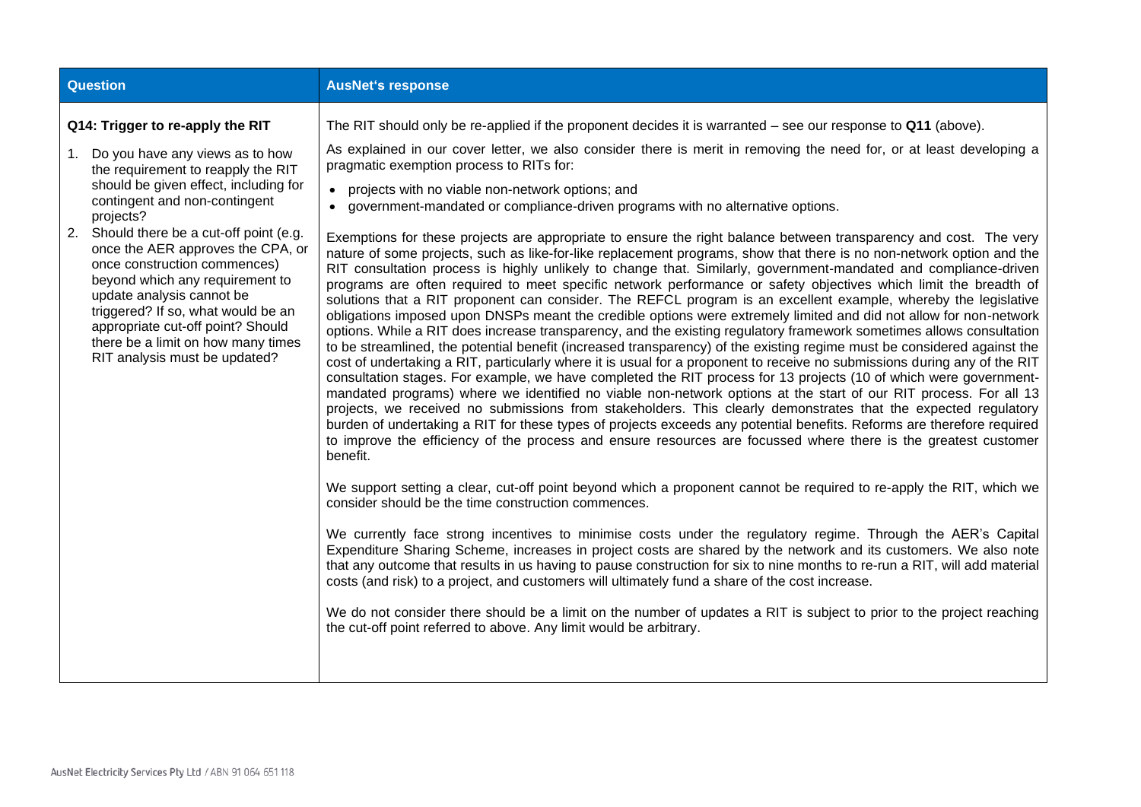| <b>Question</b>                                                                                                                                                                                                                                                                                                                                                                                                                                                                                                                           | <b>AusNet's response</b>                                                                                                                                                                                                                                                                                                                                                                                                                                                                                                                                                                                                                                                                                                                                                                                                                                                                                                                                                                                                                                                                                                                                                                                                                                                                                                                                                                                                                                                                                                                                                                                                                                                                                                                                                                                                                                                                                                                                                                                                                                                                                                                                                                                                                                                                                                                                                                                                                                                                                                                                                                                                                                                                                                                                                                                                                                                                                                                                                                                           |
|-------------------------------------------------------------------------------------------------------------------------------------------------------------------------------------------------------------------------------------------------------------------------------------------------------------------------------------------------------------------------------------------------------------------------------------------------------------------------------------------------------------------------------------------|--------------------------------------------------------------------------------------------------------------------------------------------------------------------------------------------------------------------------------------------------------------------------------------------------------------------------------------------------------------------------------------------------------------------------------------------------------------------------------------------------------------------------------------------------------------------------------------------------------------------------------------------------------------------------------------------------------------------------------------------------------------------------------------------------------------------------------------------------------------------------------------------------------------------------------------------------------------------------------------------------------------------------------------------------------------------------------------------------------------------------------------------------------------------------------------------------------------------------------------------------------------------------------------------------------------------------------------------------------------------------------------------------------------------------------------------------------------------------------------------------------------------------------------------------------------------------------------------------------------------------------------------------------------------------------------------------------------------------------------------------------------------------------------------------------------------------------------------------------------------------------------------------------------------------------------------------------------------------------------------------------------------------------------------------------------------------------------------------------------------------------------------------------------------------------------------------------------------------------------------------------------------------------------------------------------------------------------------------------------------------------------------------------------------------------------------------------------------------------------------------------------------------------------------------------------------------------------------------------------------------------------------------------------------------------------------------------------------------------------------------------------------------------------------------------------------------------------------------------------------------------------------------------------------------------------------------------------------------------------------------------------------|
| Q14: Trigger to re-apply the RIT<br>1. Do you have any views as to how<br>the requirement to reapply the RIT<br>should be given effect, including for<br>contingent and non-contingent<br>projects?<br>Should there be a cut-off point (e.g.<br>2.<br>once the AER approves the CPA, or<br>once construction commences)<br>beyond which any requirement to<br>update analysis cannot be<br>triggered? If so, what would be an<br>appropriate cut-off point? Should<br>there be a limit on how many times<br>RIT analysis must be updated? | The RIT should only be re-applied if the proponent decides it is warranted – see our response to $Q11$ (above).<br>As explained in our cover letter, we also consider there is merit in removing the need for, or at least developing a<br>pragmatic exemption process to RITs for:<br>• projects with no viable non-network options; and<br>• government-mandated or compliance-driven programs with no alternative options.<br>Exemptions for these projects are appropriate to ensure the right balance between transparency and cost. The very<br>nature of some projects, such as like-for-like replacement programs, show that there is no non-network option and the<br>RIT consultation process is highly unlikely to change that. Similarly, government-mandated and compliance-driven<br>programs are often required to meet specific network performance or safety objectives which limit the breadth of<br>solutions that a RIT proponent can consider. The REFCL program is an excellent example, whereby the legislative<br>obligations imposed upon DNSPs meant the credible options were extremely limited and did not allow for non-network<br>options. While a RIT does increase transparency, and the existing regulatory framework sometimes allows consultation<br>to be streamlined, the potential benefit (increased transparency) of the existing regime must be considered against the<br>cost of undertaking a RIT, particularly where it is usual for a proponent to receive no submissions during any of the RIT<br>consultation stages. For example, we have completed the RIT process for 13 projects (10 of which were government-<br>mandated programs) where we identified no viable non-network options at the start of our RIT process. For all 13<br>projects, we received no submissions from stakeholders. This clearly demonstrates that the expected regulatory<br>burden of undertaking a RIT for these types of projects exceeds any potential benefits. Reforms are therefore required<br>to improve the efficiency of the process and ensure resources are focussed where there is the greatest customer<br>benefit.<br>We support setting a clear, cut-off point beyond which a proponent cannot be required to re-apply the RIT, which we<br>consider should be the time construction commences.<br>We currently face strong incentives to minimise costs under the regulatory regime. Through the AER's Capital<br>Expenditure Sharing Scheme, increases in project costs are shared by the network and its customers. We also note<br>that any outcome that results in us having to pause construction for six to nine months to re-run a RIT, will add material<br>costs (and risk) to a project, and customers will ultimately fund a share of the cost increase.<br>We do not consider there should be a limit on the number of updates a RIT is subject to prior to the project reaching<br>the cut-off point referred to above. Any limit would be arbitrary. |
|                                                                                                                                                                                                                                                                                                                                                                                                                                                                                                                                           |                                                                                                                                                                                                                                                                                                                                                                                                                                                                                                                                                                                                                                                                                                                                                                                                                                                                                                                                                                                                                                                                                                                                                                                                                                                                                                                                                                                                                                                                                                                                                                                                                                                                                                                                                                                                                                                                                                                                                                                                                                                                                                                                                                                                                                                                                                                                                                                                                                                                                                                                                                                                                                                                                                                                                                                                                                                                                                                                                                                                                    |